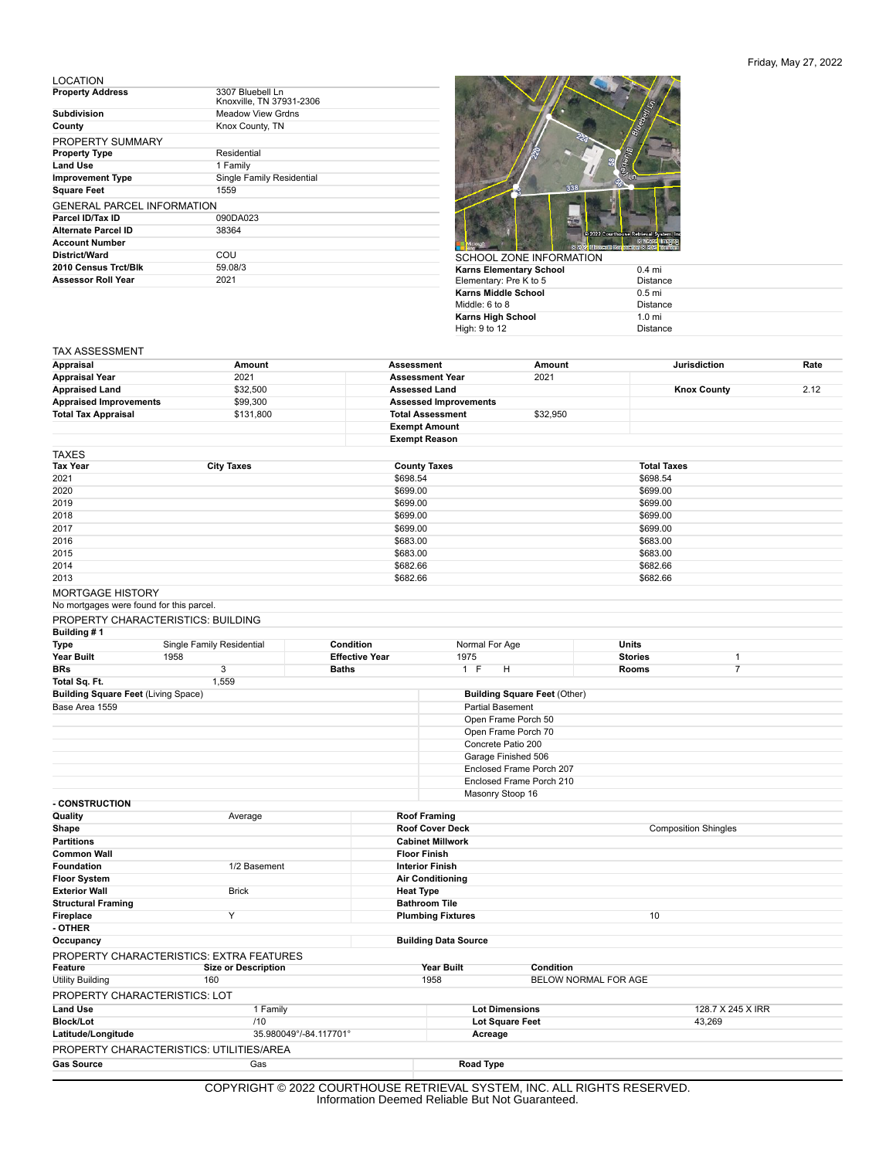## Friday, May 27, 2022

LOCATION

| <b>Property Address</b>           | 3307 Bluebell Ln<br>Knoxville, TN 37931-2306 |
|-----------------------------------|----------------------------------------------|
| <b>Subdivision</b>                | <b>Meadow View Grdns</b>                     |
| County                            | Knox County, TN                              |
| PROPERTY SUMMARY                  |                                              |
| <b>Property Type</b>              | Residential                                  |
| <b>Land Use</b>                   | 1 Family                                     |
| <b>Improvement Type</b>           | Single Family Residential                    |
| <b>Square Feet</b>                | 1559                                         |
| <b>GENERAL PARCEL INFORMATION</b> |                                              |
| Parcel ID/Tax ID                  | 090DA023                                     |
| Alternate Parcel ID               | 38364                                        |
| <b>Account Number</b>             |                                              |
| District/Ward                     | COU                                          |
| 2010 Census Trct/Blk              | 59.08/3                                      |
| <b>Assessor Roll Year</b>         | 2021                                         |



| SCHUUL ZUNE INFURMATIUN. |                  |
|--------------------------|------------------|
| Karns Elementary School  | $0.4$ mi         |
| Elementary: Pre K to 5   | <b>Distance</b>  |
| Karns Middle School      | $0.5$ mi         |
| Middle: 6 to 8           | <b>Distance</b>  |
| Karns High School        | $1.0 \text{ mi}$ |
| High: 9 to 12            | <b>Distance</b>  |
|                          |                  |

## TAX ASSESSMENT

| Appraisal                                                           | Amount                                   |                         | Assessment                   | Amount                              |                      | <b>Jurisdiction</b> | Rate |  |
|---------------------------------------------------------------------|------------------------------------------|-------------------------|------------------------------|-------------------------------------|----------------------|---------------------|------|--|
| <b>Appraisal Year</b>                                               | 2021                                     |                         | <b>Assessment Year</b>       | 2021                                |                      |                     |      |  |
| <b>Appraised Land</b>                                               | \$32,500                                 |                         | <b>Assessed Land</b>         |                                     |                      | <b>Knox County</b>  | 2.12 |  |
| <b>Appraised Improvements</b>                                       | \$99,300                                 |                         | <b>Assessed Improvements</b> |                                     |                      |                     |      |  |
| <b>Total Tax Appraisal</b>                                          | \$131,800                                |                         | <b>Total Assessment</b>      | \$32,950                            |                      |                     |      |  |
|                                                                     |                                          |                         | <b>Exempt Amount</b>         |                                     |                      |                     |      |  |
|                                                                     |                                          |                         | <b>Exempt Reason</b>         |                                     |                      |                     |      |  |
| TAXES                                                               |                                          |                         |                              |                                     |                      |                     |      |  |
| Tax Year                                                            | <b>City Taxes</b>                        |                         | <b>County Taxes</b>          |                                     | <b>Total Taxes</b>   |                     |      |  |
| 2021                                                                |                                          |                         | \$698.54                     |                                     |                      | \$698.54            |      |  |
| 2020                                                                |                                          |                         | \$699.00                     |                                     |                      | \$699.00            |      |  |
| 2019                                                                |                                          |                         | \$699.00                     |                                     | \$699.00             |                     |      |  |
| 2018                                                                |                                          |                         | \$699.00                     |                                     | \$699.00             | \$699.00            |      |  |
| 2017<br>2016                                                        |                                          |                         | \$683.00                     | \$699.00                            |                      |                     |      |  |
| 2015                                                                |                                          |                         | \$683.00                     |                                     | \$683.00<br>\$683.00 |                     |      |  |
| 2014                                                                |                                          |                         | \$682.66                     |                                     | \$682.66             |                     |      |  |
| 2013                                                                |                                          |                         | \$682.66                     |                                     | \$682.66             |                     |      |  |
|                                                                     |                                          |                         |                              |                                     |                      |                     |      |  |
| <b>MORTGAGE HISTORY</b><br>No mortgages were found for this parcel. |                                          |                         |                              |                                     |                      |                     |      |  |
|                                                                     |                                          |                         |                              |                                     |                      |                     |      |  |
| Building #1                                                         | PROPERTY CHARACTERISTICS: BUILDING       |                         |                              |                                     |                      |                     |      |  |
| <b>Type</b>                                                         | Single Family Residential                | Condition               | Normal For Age               |                                     | <b>Units</b>         |                     |      |  |
| Year Built                                                          | 1958                                     | <b>Effective Year</b>   | 1975                         |                                     | <b>Stories</b>       | $\mathbf{1}$        |      |  |
| BRs                                                                 | 3                                        | <b>Baths</b>            | 1 F                          | н                                   | <b>Rooms</b>         | $\overline{7}$      |      |  |
| Total Sq. Ft.                                                       | 1,559                                    |                         |                              |                                     |                      |                     |      |  |
| <b>Building Square Feet (Living Space)</b>                          |                                          |                         |                              | <b>Building Square Feet (Other)</b> |                      |                     |      |  |
| Base Area 1559                                                      |                                          |                         |                              | <b>Partial Basement</b>             |                      |                     |      |  |
|                                                                     |                                          |                         |                              | Open Frame Porch 50                 |                      |                     |      |  |
|                                                                     |                                          |                         |                              | Open Frame Porch 70                 |                      |                     |      |  |
|                                                                     |                                          |                         |                              | Concrete Patio 200                  |                      |                     |      |  |
|                                                                     |                                          |                         |                              | Garage Finished 506                 |                      |                     |      |  |
|                                                                     |                                          |                         |                              | Enclosed Frame Porch 207            |                      |                     |      |  |
|                                                                     |                                          |                         |                              | Enclosed Frame Porch 210            |                      |                     |      |  |
| - CONSTRUCTION                                                      |                                          |                         |                              | Masonry Stoop 16                    |                      |                     |      |  |
| Quality                                                             | Average                                  |                         | <b>Roof Framing</b>          |                                     |                      |                     |      |  |
| Shape                                                               |                                          |                         | <b>Roof Cover Deck</b>       | <b>Composition Shingles</b>         |                      |                     |      |  |
| <b>Partitions</b>                                                   |                                          |                         | <b>Cabinet Millwork</b>      |                                     |                      |                     |      |  |
| <b>Common Wall</b>                                                  |                                          |                         | <b>Floor Finish</b>          |                                     |                      |                     |      |  |
| Foundation                                                          | 1/2 Basement                             | <b>Interior Finish</b>  |                              |                                     |                      |                     |      |  |
| <b>Floor System</b>                                                 |                                          | <b>Air Conditioning</b> |                              |                                     |                      |                     |      |  |
| <b>Exterior Wall</b>                                                | <b>Brick</b>                             |                         | <b>Heat Type</b>             |                                     |                      |                     |      |  |
| <b>Structural Framing</b>                                           |                                          |                         | <b>Bathroom Tile</b>         |                                     |                      |                     |      |  |
| Fireplace                                                           | Υ                                        |                         | <b>Plumbing Fixtures</b>     |                                     |                      |                     |      |  |
| - OTHER                                                             |                                          |                         |                              |                                     |                      |                     |      |  |
| Occupancy                                                           |                                          |                         | <b>Building Data Source</b>  |                                     |                      |                     |      |  |
|                                                                     | PROPERTY CHARACTERISTICS: EXTRA FEATURES |                         |                              |                                     |                      |                     |      |  |
| Feature                                                             | <b>Size or Description</b>               |                         | <b>Year Built</b>            | Condition                           |                      |                     |      |  |
| <b>Utility Building</b>                                             | 160                                      |                         | 1958                         |                                     | BELOW NORMAL FOR AGE |                     |      |  |
| PROPERTY CHARACTERISTICS: LOT                                       |                                          |                         |                              |                                     |                      |                     |      |  |
| <b>Land Use</b>                                                     |                                          |                         |                              | <b>Lot Dimensions</b>               |                      | 128.7 X 245 X IRR   |      |  |
| <b>Block/Lot</b>                                                    | 1 Family                                 |                         |                              |                                     |                      |                     |      |  |
|                                                                     | /10                                      |                         |                              | <b>Lot Square Feet</b>              |                      | 43,269              |      |  |
| Latitude/Longitude                                                  |                                          | 35.980049°/-84.117701°  | Acreage                      |                                     |                      |                     |      |  |
|                                                                     | PROPERTY CHARACTERISTICS: UTILITIES/AREA |                         |                              |                                     |                      |                     |      |  |
| <b>Gas Source</b>                                                   | Gas                                      |                         | Road Type                    |                                     |                      |                     |      |  |

COPYRIGHT © 2022 COURTHOUSE RETRIEVAL SYSTEM, INC. ALL RIGHTS RESERVED. Information Deemed Reliable But Not Guaranteed.